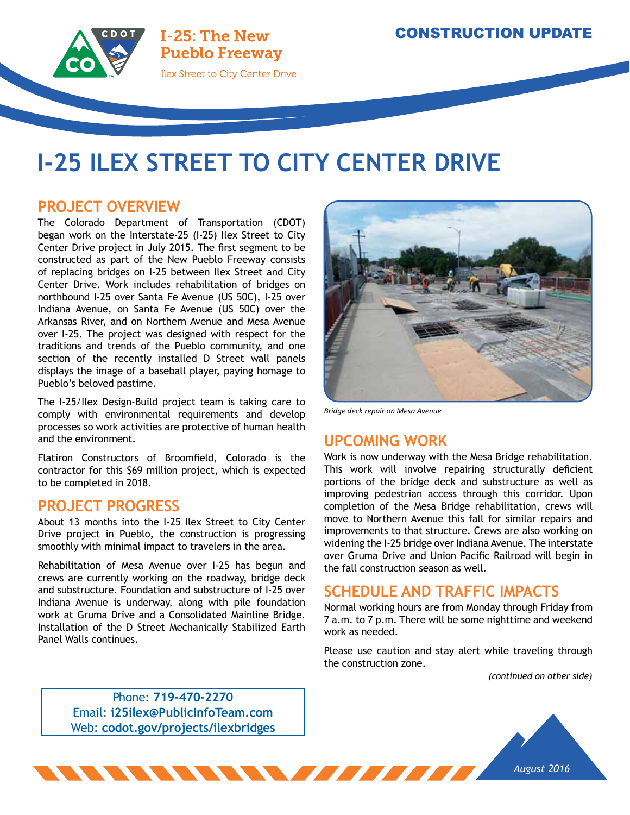

I-25: The New **Pueblo Freeway Ilex Street to City Center Drive** 

# **I-25 ILEX STREET TO CITY CENTER DRIVE**

### **PROJECT OVERVIEW**

The Colorado Department of Transportation (CDOT) began work on the Interstate-25 (I-25) Ilex Street to City Center Drive project in July 2015. The first segment to be constructed as part of the New Pueblo Freeway consists of replacing bridges on I-25 between Ilex Street and City Center Drive. Work includes rehabilitation of bridges on northbound I-25 over Santa Fe Avenue (US 50C), I-25 over Indiana Avenue, on Santa Fe Avenue (US 50C) over the Arkansas River, and on Northern Avenue and Mesa Avenue over I-25. The project was designed with respect for the traditions and trends of the Pueblo community, and one section of the recently installed D Street wall panels displays the image of a baseball player, paying homage to Pueblo's beloved pastime.

The I-25/Ilex Design-Build project team is taking care to comply with environmental requirements and develop processes so work activities are protective of human health and the environment.

Flatiron Constructors of Broomfield, Colorado is the contractor for this \$69 million project, which is expected to be completed in 2018.

#### **PROJECT PROGRESS**

About 13 months into the I-25 Ilex Street to City Center Drive project in Pueblo, the construction is progressing smoothly with minimal impact to travelers in the area.

Rehabilitation of Mesa Avenue over I-25 has begun and crews are currently working on the roadway, bridge deck and substructure. Foundation and substructure of I-25 over Indiana Avenue is underway, along with pile foundation work at Gruma Drive and a Consolidated Mainline Bridge. Installation of the D Street Mechanically Stabilized Earth Panel Walls continues.



*Bridge deck repair on Mesa Avenue*

### **UPCOMING WORK**

Work is now underway with the Mesa Bridge rehabilitation. This work will involve repairing structurally deficient portions of the bridge deck and substructure as well as improving pedestrian access through this corridor. Upon completion of the Mesa Bridge rehabilitation, crews will move to Northern Avenue this fall for similar repairs and improvements to that structure. Crews are also working on widening the I-25 bridge over Indiana Avenue. The interstate over Gruma Drive and Union Pacific Railroad will begin in the fall construction season as well.

#### **SCHEDULE AND TRAFFIC IMPACTS**

Normal working hours are from Monday through Friday from 7 a.m. to 7 p.m. There will be some nighttime and weekend work as needed.

Please use caution and stay alert while traveling through the construction zone.

*(continued on other side)*

Phone: **719-470-2270** Email: **i25ilex@PublicInfoTeam.com** Web: **codot.gov/projects/ilexbridges**

NNNNNNNN*N IIIIIIIII*